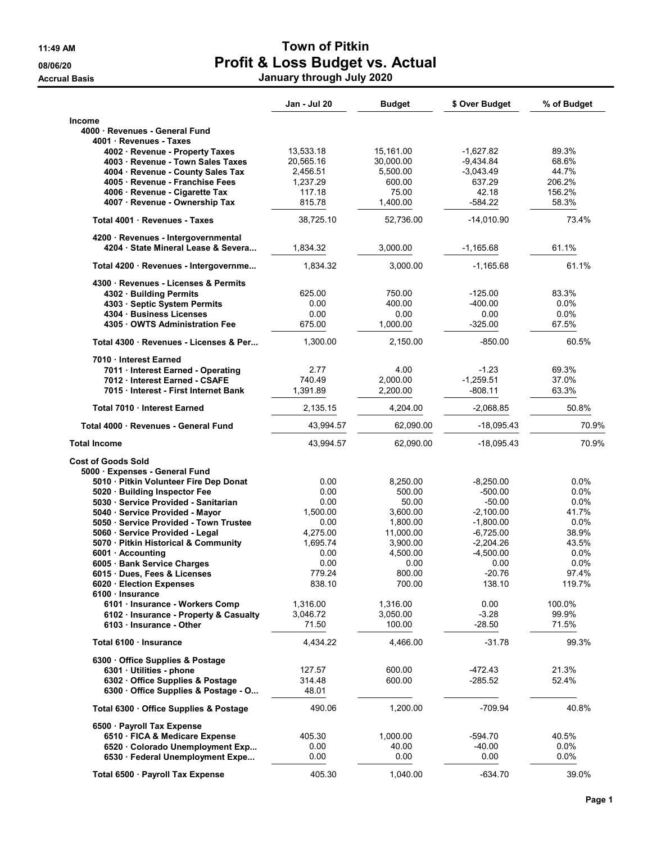|                                            | Jan - Jul 20     | <b>Budget</b>    | \$ Over Budget     | % of Budget     |
|--------------------------------------------|------------------|------------------|--------------------|-----------------|
| <b>Income</b>                              |                  |                  |                    |                 |
| 4000 · Revenues - General Fund             |                  |                  |                    |                 |
| 4001 Revenues - Taxes                      |                  |                  |                    |                 |
| 4002 · Revenue - Property Taxes            | 13,533.18        | 15,161.00        | $-1.627.82$        | 89.3%           |
| 4003 · Revenue - Town Sales Taxes          | 20,565.16        | 30,000.00        | $-9,434.84$        | 68.6%           |
| 4004 · Revenue - County Sales Tax          | 2,456.51         | 5,500.00         | $-3.043.49$        | 44.7%           |
| 4005 · Revenue - Franchise Fees            | 1,237.29         | 600.00           | 637.29             | 206.2%          |
| 4006 · Revenue - Cigarette Tax             | 117.18           | 75.00            | 42.18              | 156.2%          |
| 4007 · Revenue - Ownership Tax             | 815.78           | 1,400.00         | $-584.22$          | 58.3%           |
| Total 4001 · Revenues - Taxes              | 38,725.10        | 52,736.00        | $-14,010.90$       | 73.4%           |
| 4200 · Revenues - Intergovernmental        |                  |                  |                    |                 |
| 4204 State Mineral Lease & Severa          | 1,834.32         | 3,000.00         | $-1,165.68$        | 61.1%           |
| Total 4200 · Revenues - Intergovernme      | 1,834.32         | 3,000.00         | $-1,165.68$        | 61.1%           |
| 4300 Revenues - Licenses & Permits         |                  |                  |                    |                 |
| 4302 · Building Permits                    | 625.00           | 750.00           | $-125.00$          | 83.3%           |
| 4303 · Septic System Permits               | 0.00             | 400.00           | $-400.00$          | 0.0%            |
| 4304 Business Licenses                     | 0.00             | 0.00             | 0.00               | $0.0\%$         |
| 4305 OWTS Administration Fee               | 675.00           | 1,000.00         | $-325.00$          | 67.5%           |
| Total 4300 · Revenues - Licenses & Per     | 1,300.00         | 2,150.00         | $-850.00$          | 60.5%           |
| 7010 Interest Earned                       |                  |                  |                    |                 |
| 7011 · Interest Earned - Operating         | 2.77             | 4.00             | $-1.23$            | 69.3%           |
| 7012 Interest Earned - CSAFE               | 740.49           | 2,000.00         | $-1,259.51$        | 37.0%           |
| 7015 Interest - First Internet Bank        | 1,391.89         | 2,200.00         | $-808.11$          | 63.3%           |
| Total 7010 · Interest Earned               | 2,135.15         | 4,204.00         | $-2,068.85$        | 50.8%           |
| Total 4000 · Revenues - General Fund       | 43,994.57        | 62,090.00        | -18,095.43         | 70.9%           |
|                                            |                  |                  |                    | 70.9%           |
| <b>Total Income</b>                        | 43,994.57        | 62,090.00        | -18,095.43         |                 |
|                                            |                  |                  |                    |                 |
| <b>Cost of Goods Sold</b>                  |                  |                  |                    |                 |
| 5000 · Expenses - General Fund             |                  |                  |                    |                 |
| 5010 · Pitkin Volunteer Fire Dep Donat     | 0.00             | 8,250.00         | $-8,250.00$        | 0.0%            |
| 5020 Building Inspector Fee                | 0.00             | 500.00           | $-500.00$          | $0.0\%$         |
| 5030 · Service Provided - Sanitarian       | 0.00             | 50.00            | $-50.00$           | $0.0\%$         |
| 5040 · Service Provided - Mayor            | 1,500.00         | 3.600.00         | $-2,100.00$        | 41.7%           |
| 5050 · Service Provided - Town Trustee     | 0.00             | 1,800.00         | $-1,800.00$        | $0.0\%$         |
| 5060 · Service Provided - Legal            | 4,275.00         | 11,000.00        | $-6,725.00$        | 38.9%           |
| 5070 · Pitkin Historical & Community       | 1,695.74         | 3,900.00         | $-2,204.26$        | 43.5%           |
| 6001 · Accounting                          | 0.00             | 4,500.00         | $-4,500.00$        | 0.0%            |
| 6005 · Bank Service Charges                | 0.00             | 0.00             | 0.00               | $0.0\%$         |
| 6015 Dues, Fees & Licenses                 | 779.24<br>838.10 | 800.00<br>700.00 | $-20.76$<br>138.10 | 97.4%<br>119.7% |
| 6020 · Election Expenses<br>6100 Insurance |                  |                  |                    |                 |
| 6101 · Insurance - Workers Comp            | 1,316.00         | 1,316.00         | 0.00               | 100.0%          |
| 6102 · Insurance - Property & Casualty     | 3,046.72         | 3,050.00         | $-3.28$            | 99.9%           |
| 6103 Insurance - Other                     | 71.50            | 100.00           | $-28.50$           | 71.5%           |
| Total 6100 · Insurance                     | 4,434.22         | 4,466.00         | $-31.78$           | 99.3%           |
| 6300 Office Supplies & Postage             |                  |                  |                    |                 |
| 6301 · Utilities - phone                   | 127.57           | 600.00           | $-472.43$          | 21.3%           |
| 6302 Office Supplies & Postage             | 314.48           | 600.00           | $-285.52$          | 52.4%           |
| 6300 Office Supplies & Postage - O         | 48.01            |                  |                    |                 |
| Total 6300 Office Supplies & Postage       | 490.06           | 1,200.00         | $-709.94$          | 40.8%           |
| 6500 · Payroll Tax Expense                 |                  |                  |                    |                 |
| 6510 · FICA & Medicare Expense             | 405.30           | 1,000.00         | -594.70            | 40.5%           |
| 6520 Colorado Unemployment Exp             | 0.00             | 40.00            | $-40.00$           | 0.0%            |
| 6530 · Federal Unemployment Expe           | 0.00             | 0.00             | 0.00               | 0.0%            |
| Total 6500 · Payroll Tax Expense           | 405.30           | 1,040.00         | $-634.70$          | 39.0%           |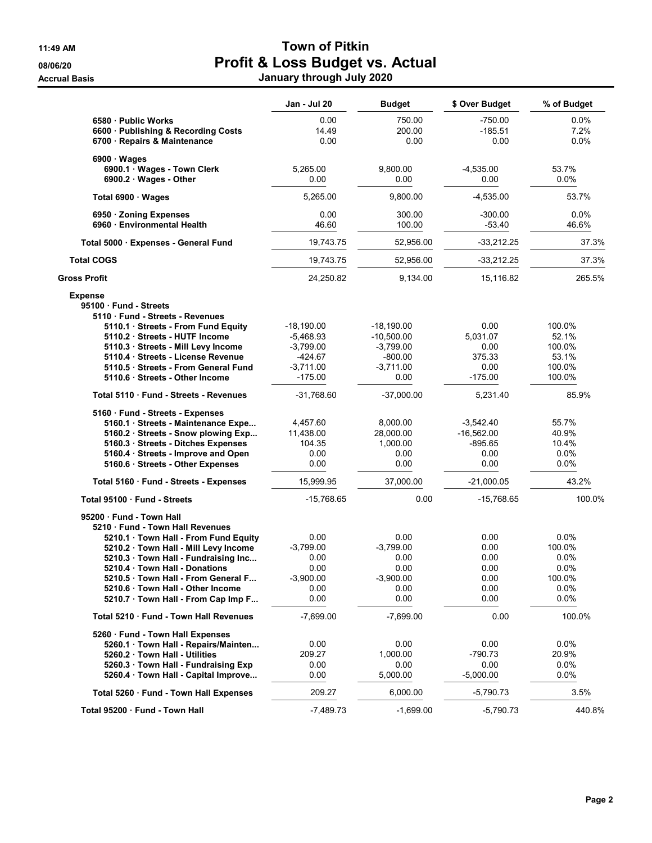|                                                                                                                                                                                                                               | Jan - Jul 20                                    | <b>Budget</b>                                     | \$ Over Budget                                         | % of Budget                                |
|-------------------------------------------------------------------------------------------------------------------------------------------------------------------------------------------------------------------------------|-------------------------------------------------|---------------------------------------------------|--------------------------------------------------------|--------------------------------------------|
| 6580 - Public Works<br>6600 · Publishing & Recording Costs<br>6700 · Repairs & Maintenance                                                                                                                                    | 0.00<br>14.49<br>0.00                           | 750.00<br>200.00<br>0.00                          | $-750.00$<br>-185.51<br>0.00                           | $0.0\%$<br>7.2%<br>$0.0\%$                 |
| 6900 · Wages                                                                                                                                                                                                                  |                                                 |                                                   |                                                        |                                            |
| 6900.1 · Wages - Town Clerk<br>$6900.2 \cdot Wages - Other$                                                                                                                                                                   | 5,265.00<br>0.00                                | 9,800.00<br>0.00                                  | $-4,535.00$<br>0.00                                    | 53.7%<br>$0.0\%$                           |
| Total 6900 · Wages                                                                                                                                                                                                            | 5,265.00                                        | 9,800.00                                          | $-4,535.00$                                            | 53.7%                                      |
| 6950 Zoning Expenses<br>6960 Environmental Health                                                                                                                                                                             | 0.00<br>46.60                                   | 300.00<br>100.00                                  | $-300.00$<br>$-53.40$                                  | $0.0\%$<br>46.6%                           |
| Total 5000 · Expenses - General Fund                                                                                                                                                                                          | 19,743.75                                       | 52,956.00                                         | $-33,212.25$                                           | 37.3%                                      |
| <b>Total COGS</b>                                                                                                                                                                                                             | 19,743.75                                       | 52,956.00                                         | $-33,212.25$                                           | 37.3%                                      |
| Gross Profit                                                                                                                                                                                                                  | 24,250.82                                       | 9,134.00                                          | 15,116.82                                              | 265.5%                                     |
| <b>Expense</b><br>95100 Fund - Streets<br>5110 Fund - Streets - Revenues                                                                                                                                                      |                                                 |                                                   |                                                        |                                            |
| 5110.1 Streets - From Fund Equity                                                                                                                                                                                             | $-18,190.00$                                    | $-18,190.00$                                      | 0.00                                                   | 100.0%                                     |
| 5110.2 Streets - HUTF Income                                                                                                                                                                                                  | $-5,468.93$                                     | $-10,500.00$                                      | 5.031.07                                               | 52.1%                                      |
| 5110.3 · Streets - Mill Levy Income<br>5110.4 Streets - License Revenue                                                                                                                                                       | $-3,799.00$<br>-424.67                          | $-3.799.00$<br>$-800.00$                          | 0.00<br>375.33                                         | 100.0%<br>53.1%                            |
| 5110.5 · Streets - From General Fund                                                                                                                                                                                          | $-3,711.00$                                     | $-3,711.00$                                       | 0.00                                                   | 100.0%                                     |
| 5110.6 Streets - Other Income                                                                                                                                                                                                 | $-175.00$                                       | 0.00                                              | -175.00                                                | 100.0%                                     |
| Total 5110 Fund - Streets - Revenues                                                                                                                                                                                          | $-31,768.60$                                    | $-37,000.00$                                      | 5,231.40                                               | 85.9%                                      |
| 5160 · Fund - Streets - Expenses<br>5160.1 · Streets - Maintenance Expe<br>5160.2 Streets - Snow plowing Exp<br>5160.3 Streets - Ditches Expenses<br>5160.4 · Streets - Improve and Open<br>5160.6 · Streets - Other Expenses | 4,457.60<br>11,438.00<br>104.35<br>0.00<br>0.00 | 8,000.00<br>28,000.00<br>1,000.00<br>0.00<br>0.00 | $-3,542.40$<br>$-16,562.00$<br>-895.65<br>0.00<br>0.00 | 55.7%<br>40.9%<br>10.4%<br>$0.0\%$<br>0.0% |
| Total 5160 · Fund - Streets - Expenses                                                                                                                                                                                        | 15,999.95                                       | 37,000.00                                         | $-21,000.05$                                           | 43.2%                                      |
| Total 95100 · Fund - Streets                                                                                                                                                                                                  | $-15,768.65$                                    | 0.00                                              | $-15,768.65$                                           | 100.0%                                     |
| 95200 Fund - Town Hall<br>5210 Fund - Town Hall Revenues                                                                                                                                                                      |                                                 |                                                   |                                                        |                                            |
| 5210.1 Town Hall - From Fund Equity                                                                                                                                                                                           | 0.00                                            | 0.00                                              | 0.00                                                   | 0.0%                                       |
| 5210.2 Town Hall - Mill Levy Income                                                                                                                                                                                           | $-3,799.00$                                     | $-3,799.00$                                       | 0.00                                                   | 100.0%                                     |
| 5210.3 · Town Hall - Fundraising Inc                                                                                                                                                                                          | 0.00<br>0.00                                    | 0.00<br>0.00                                      | 0.00<br>0.00                                           | $0.0\%$<br>$0.0\%$                         |
| 5210.4 Town Hall - Donations<br>5210.5 Town Hall - From General F                                                                                                                                                             | $-3,900.00$                                     | $-3,900.00$                                       | 0.00                                                   | 100.0%                                     |
| 5210.6 Town Hall - Other Income                                                                                                                                                                                               | 0.00                                            | 0.00                                              | 0.00                                                   | $0.0\%$                                    |
| 5210.7 Town Hall - From Cap Imp F                                                                                                                                                                                             | 0.00                                            | 0.00                                              | 0.00                                                   | 0.0%                                       |
| Total 5210 · Fund - Town Hall Revenues                                                                                                                                                                                        | $-7,699.00$                                     | $-7,699.00$                                       | 0.00                                                   | 100.0%                                     |
| 5260 · Fund - Town Hall Expenses                                                                                                                                                                                              |                                                 |                                                   |                                                        |                                            |
| 5260.1 · Town Hall - Repairs/Mainten                                                                                                                                                                                          | 0.00                                            | 0.00                                              | 0.00                                                   | $0.0\%$                                    |
| 5260.2 Town Hall - Utilities                                                                                                                                                                                                  | 209.27                                          | 1,000.00                                          | $-790.73$                                              | 20.9%                                      |
| 5260.3 Town Hall - Fundraising Exp                                                                                                                                                                                            | 0.00                                            | 0.00                                              | 0.00                                                   | $0.0\%$                                    |
| 5260.4 · Town Hall - Capital Improve                                                                                                                                                                                          | 0.00                                            | 5,000.00                                          | $-5,000.00$                                            | 0.0%                                       |
| Total 5260 · Fund - Town Hall Expenses                                                                                                                                                                                        | 209.27                                          | 6,000.00                                          | -5,790.73                                              | 3.5%                                       |
| Total 95200 · Fund - Town Hall                                                                                                                                                                                                | $-7,489.73$                                     | $-1,699.00$                                       | $-5,790.73$                                            | 440.8%                                     |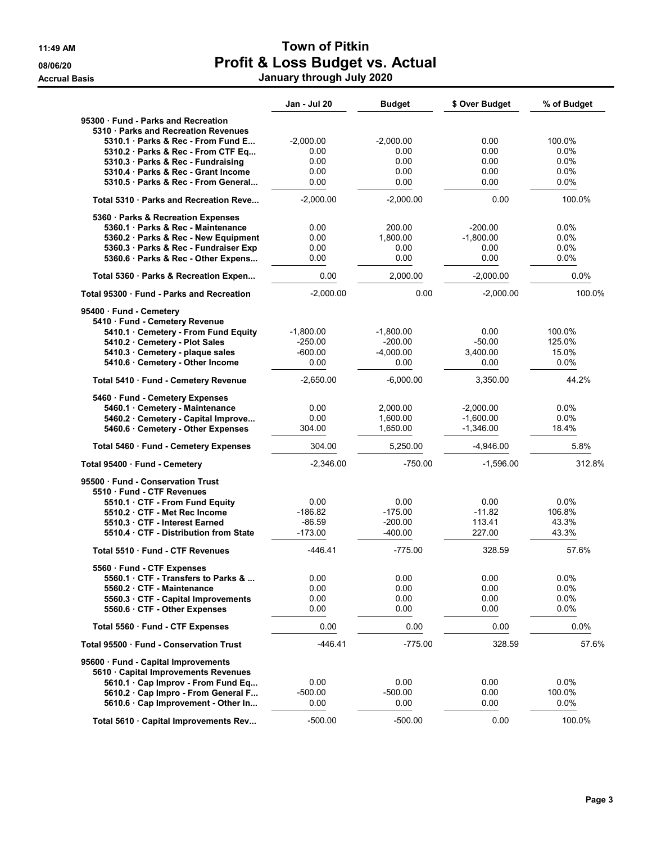|                                                                         | Jan - Jul 20      | <b>Budget</b>     | \$ Over Budget   | % of Budget       |
|-------------------------------------------------------------------------|-------------------|-------------------|------------------|-------------------|
| 95300 Fund - Parks and Recreation                                       |                   |                   |                  |                   |
| 5310 · Parks and Recreation Revenues                                    |                   |                   |                  |                   |
| 5310.1 Parks & Rec - From Fund E                                        | $-2,000.00$       | $-2,000.00$       | 0.00             | 100.0%            |
| 5310.2 Parks & Rec - From CTF Eq                                        | 0.00              | 0.00              | 0.00             | 0.0%              |
| 5310.3 · Parks & Rec - Fundraising<br>5310.4 Parks & Rec - Grant Income | 0.00<br>0.00      | 0.00<br>0.00      | 0.00<br>0.00     | $0.0\%$           |
| 5310.5 Parks & Rec - From General                                       | 0.00              | 0.00              | 0.00             | $0.0\%$<br>0.0%   |
|                                                                         |                   |                   |                  |                   |
| Total 5310 · Parks and Recreation Reve                                  | $-2,000.00$       | $-2,000.00$       | 0.00             | 100.0%            |
| 5360 · Parks & Recreation Expenses                                      |                   |                   |                  |                   |
| 5360.1 · Parks & Rec - Maintenance                                      | 0.00              | 200.00            | $-200.00$        | 0.0%              |
| 5360.2 · Parks & Rec - New Equipment                                    | 0.00              | 1,800.00          | $-1,800.00$      | 0.0%              |
| 5360.3 · Parks & Rec - Fundraiser Exp                                   | 0.00              | 0.00              | 0.00<br>0.00     | $0.0\%$           |
| 5360.6 · Parks & Rec - Other Expens                                     | 0.00              | 0.00              |                  | 0.0%              |
| Total 5360 · Parks & Recreation Expen                                   | 0.00              | 2,000.00          | $-2,000.00$      | 0.0%              |
| Total 95300 · Fund - Parks and Recreation                               | $-2,000.00$       | 0.00              | $-2,000.00$      | 100.0%            |
| 95400 · Fund - Cemetery                                                 |                   |                   |                  |                   |
| 5410 · Fund - Cemetery Revenue                                          |                   |                   |                  |                   |
| 5410.1 Cemetery - From Fund Equity                                      | $-1,800.00$       | $-1,800.00$       | 0.00             | 100.0%            |
| 5410.2 · Cemetery - Plot Sales                                          | $-250.00$         | $-200.00$         | $-50.00$         | 125.0%            |
| 5410.3 Cemetery - plaque sales                                          | $-600.00$         | $-4,000.00$       | 3,400.00         | 15.0%             |
| 5410.6 Cemetery - Other Income                                          | 0.00              | 0.00              | 0.00             | 0.0%              |
| Total 5410 · Fund - Cemetery Revenue                                    | $-2,650.00$       | $-6,000.00$       | 3,350.00         | 44.2%             |
| 5460 · Fund - Cemetery Expenses                                         |                   |                   |                  |                   |
| 5460.1 Cemetery - Maintenance                                           | 0.00              | 2,000.00          | $-2,000.00$      | 0.0%              |
| 5460.2 Cemetery - Capital Improve                                       | 0.00              | 1,600.00          | $-1,600.00$      | 0.0%              |
| 5460.6 Cemetery - Other Expenses                                        | 304.00            | 1,650.00          | $-1,346.00$      | 18.4%             |
| Total 5460 · Fund - Cemetery Expenses                                   | 304.00            | 5,250.00          | $-4,946.00$      | 5.8%              |
| Total 95400 · Fund - Cemetery                                           | $-2,346.00$       | $-750.00$         | $-1,596.00$      | 312.8%            |
| 95500 · Fund - Conservation Trust                                       |                   |                   |                  |                   |
| 5510 Fund - CTF Revenues                                                |                   |                   |                  |                   |
| 5510.1 CTF - From Fund Equity                                           | 0.00<br>$-186.82$ | 0.00<br>$-175.00$ | 0.00<br>$-11.82$ | $0.0\%$<br>106.8% |
| 5510.2 CTF - Met Rec Income<br>5510.3 CTF - Interest Earned             | $-86.59$          | $-200.00$         | 113.41           | 43.3%             |
| 5510.4 CTF - Distribution from State                                    | $-173.00$         | $-400.00$         | 227.00           | 43.3%             |
|                                                                         |                   |                   |                  |                   |
| Total 5510 Fund - CTF Revenues                                          | -446.41           | $-775.00$         | 328.59           | 57.6%             |
| 5560 Fund - CTF Expenses                                                |                   |                   |                  |                   |
| 5560.1 CTF - Transfers to Parks &                                       | 0.00              | 0.00              | 0.00             | 0.0%              |
| 5560.2 CTF - Maintenance                                                | 0.00<br>0.00      | 0.00<br>0.00      | 0.00<br>0.00     | $0.0\%$<br>0.0%   |
| 5560.3 CTF - Capital Improvements<br>5560.6 CTF - Other Expenses        | 0.00              | 0.00              | 0.00             | 0.0%              |
|                                                                         |                   |                   |                  |                   |
| Total 5560 · Fund - CTF Expenses                                        | 0.00              | 0.00              | 0.00             | 0.0%              |
| Total 95500 Fund - Conservation Trust                                   | $-446.41$         | $-775.00$         | 328.59           | 57.6%             |
| 95600 · Fund - Capital Improvements                                     |                   |                   |                  |                   |
| 5610 Capital Improvements Revenues                                      |                   |                   |                  |                   |
| 5610.1 Cap Improv - From Fund Eq                                        | 0.00              | 0.00              | 0.00             | $0.0\%$           |
| 5610.2 Cap Impro - From General F                                       | $-500.00$         | $-500.00$         | 0.00             | 100.0%            |
| 5610.6 Cap Improvement - Other In                                       | 0.00              | 0.00              | 0.00             | $0.0\%$           |
| Total 5610 · Capital Improvements Rev                                   | $-500.00$         | $-500.00$         | 0.00             | 100.0%            |